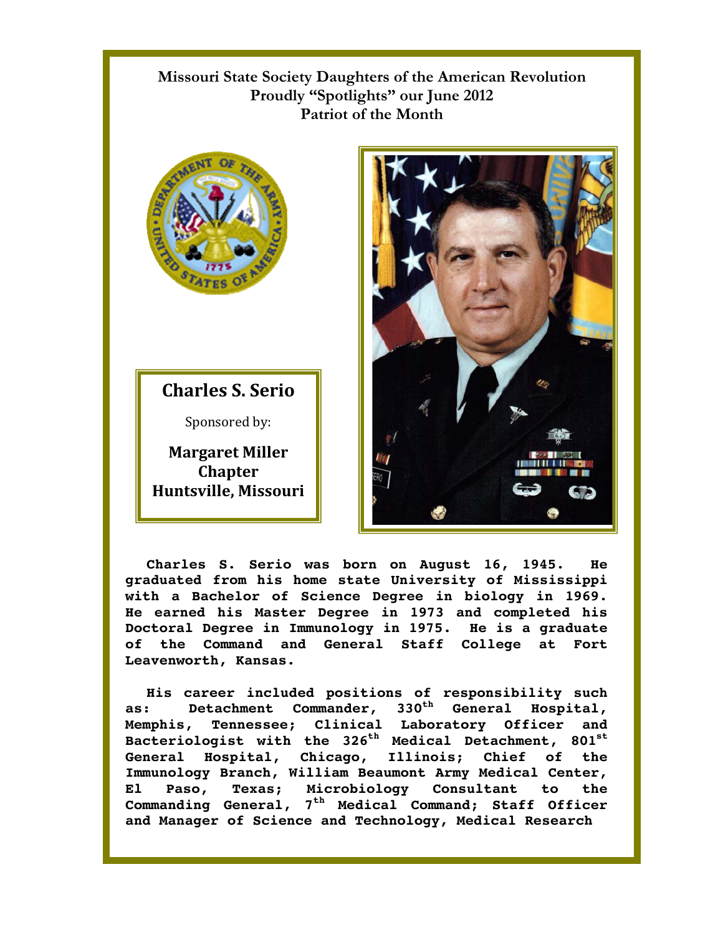## **Missouri State Society Daughters of the American Revolution Proudly "Spotlights" our June 2012 Patriot of the Month**



**Charles S. Serio**

Sponsored by:

**Margaret Miller Chapter Huntsville, Missouri** 



**Charles S. Serio was born on August 16, 1945. He graduated from his home state University of Mississippi with a Bachelor of Science Degree in biology in 1969. He earned his Master Degree in 1973 and completed his Doctoral Degree in Immunology in 1975. He is a graduate of the Command and General Staff College at Fort Leavenworth, Kansas.** 

**His career included positions of responsibility such as: Detachment Commander, 330th General Hospital, Memphis, Tennessee; Clinical Laboratory Officer and**  Bacteriologist with the 326<sup>th</sup> Medical Detachment, 801<sup>st</sup> **General Hospital, Chicago, Illinois; Chief of the Immunology Branch, William Beaumont Army Medical Center, El Paso, Texas; Microbiology Consultant to the Commanding General, 7th Medical Command; Staff Officer and Manager of Science and Technology, Medical Research**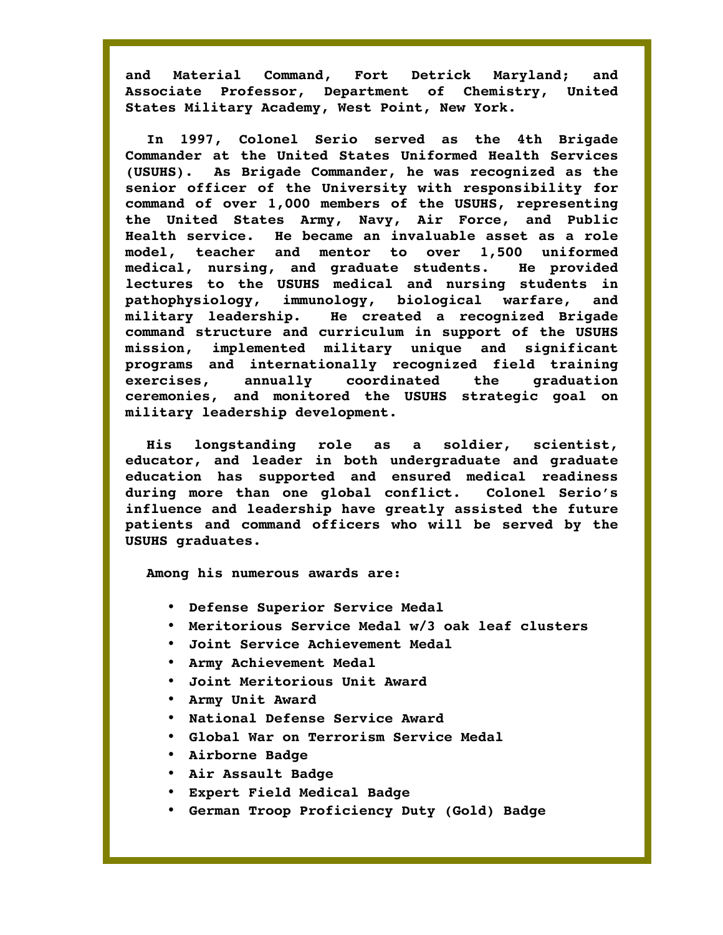**and Material Command, Fort Detrick Maryland; and Associate Professor, Department of Chemistry, United States Military Academy, West Point, New York.** 

**In 1997, Colonel Serio served as the 4th Brigade Commander at the United States Uniformed Health Services (USUHS). As Brigade Commander, he was recognized as the senior officer of the University with responsibility for command of over 1,000 members of the USUHS, representing the United States Army, Navy, Air Force, and Public Health service. He became an invaluable asset as a role model, teacher and mentor to over 1,500 uniformed medical, nursing, and graduate students. He provided lectures to the USUHS medical and nursing students in pathophysiology, immunology, biological warfare, and military leadership. He created a recognized Brigade command structure and curriculum in support of the USUHS mission, implemented military unique and significant programs and internationally recognized field training exercises, annually coordinated the graduation ceremonies, and monitored the USUHS strategic goal on military leadership development.** 

**His longstanding role as a soldier, scientist, educator, and leader in both undergraduate and graduate education has supported and ensured medical readiness during more than one global conflict. Colonel Serio's influence and leadership have greatly assisted the future patients and command officers who will be served by the USUHS graduates.** 

**Among his numerous awards are:** 

- **Defense Superior Service Medal**
- **Meritorious Service Medal w/3 oak leaf clusters**
- **Joint Service Achievement Medal**
- **Army Achievement Medal**
- **Joint Meritorious Unit Award**
- **Army Unit Award**
- **National Defense Service Award**
- **Global War on Terrorism Service Medal**
- **Airborne Badge**
- **Air Assault Badge**
- **Expert Field Medical Badge**
- **German Troop Proficiency Duty (Gold) Badge**